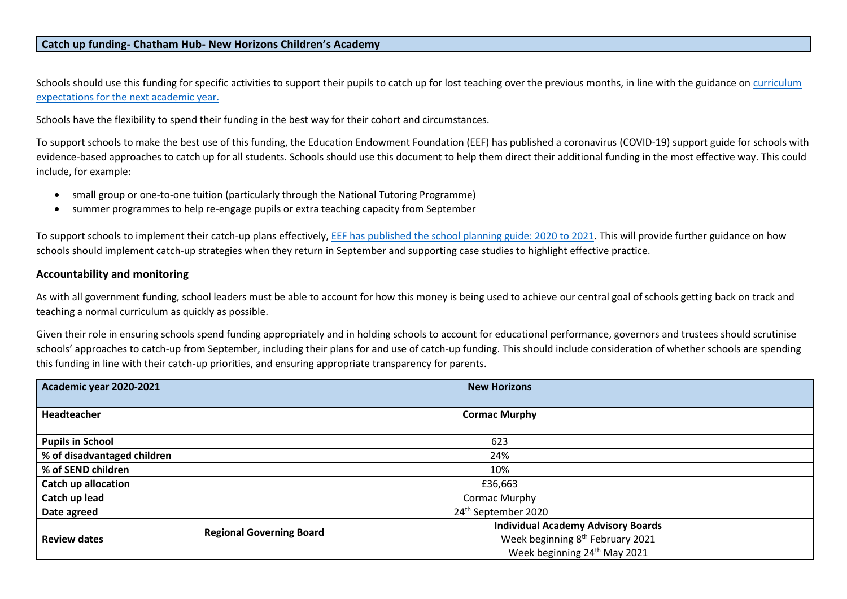## **Catch up funding- Chatham Hub- New Horizons Children's Academy**

Schools should use this funding for specific activities to support their pupils to catch up for lost teaching over the previous months, in line with the guidance on curriculum [expectations for the next academic year.](mailto:https://www.gov.uk/government/publications/actions-for-schools-during-the-coronavirus-outbreak/guidance-for-full-opening-schools%23section-3-curriculum-behaviour-and-pastoral-support)

Schools have the flexibility to spend their funding in the best way for their cohort and circumstances.

To support schools to make the best use of this funding, the Education Endowment Foundation (EEF) has published a coronavirus (COVID-19) support guide for schools with evidence-based approaches to catch up for all students. Schools should use this document to help them direct their additional funding in the most effective way. This could include, for example:

- small group or one-to-one tuition (particularly through the National Tutoring Programme)
- summer programmes to help re-engage pupils or extra teaching capacity from September

To support schools to implement their catch-up plans effectively, [EEF has published the school planning guide: 2020 to 2021.](mailto:https://educationendowmentfoundation.org.uk/covid-19-resources/national-tutoring-programme/covid-19-support-guide-for-schools/%23nav-covid-19-support-guide-for-schools1) This will provide further guidance on how schools should implement catch-up strategies when they return in September and supporting case studies to highlight effective practice.

## **Accountability and monitoring**

As with all government funding, school leaders must be able to account for how this money is being used to achieve our central goal of schools getting back on track and teaching a normal curriculum as quickly as possible.

Given their role in ensuring schools spend funding appropriately and in holding schools to account for educational performance, governors and trustees should scrutinise schools' approaches to catch-up from September, including their plans for and use of catch-up funding. This should include consideration of whether schools are spending this funding in line with their catch-up priorities, and ensuring appropriate transparency for parents.

| Academic year 2020-2021     | <b>New Horizons</b>             |                                              |  |  |  |  |
|-----------------------------|---------------------------------|----------------------------------------------|--|--|--|--|
|                             |                                 |                                              |  |  |  |  |
| Headteacher                 | <b>Cormac Murphy</b>            |                                              |  |  |  |  |
|                             |                                 |                                              |  |  |  |  |
| <b>Pupils in School</b>     | 623                             |                                              |  |  |  |  |
| % of disadvantaged children | 24%                             |                                              |  |  |  |  |
| % of SEND children          | 10%                             |                                              |  |  |  |  |
| <b>Catch up allocation</b>  | £36,663                         |                                              |  |  |  |  |
| Catch up lead               | Cormac Murphy                   |                                              |  |  |  |  |
| Date agreed                 |                                 | 24 <sup>th</sup> September 2020              |  |  |  |  |
|                             | <b>Regional Governing Board</b> | <b>Individual Academy Advisory Boards</b>    |  |  |  |  |
| <b>Review dates</b>         |                                 | Week beginning 8 <sup>th</sup> February 2021 |  |  |  |  |
|                             |                                 | Week beginning 24 <sup>th</sup> May 2021     |  |  |  |  |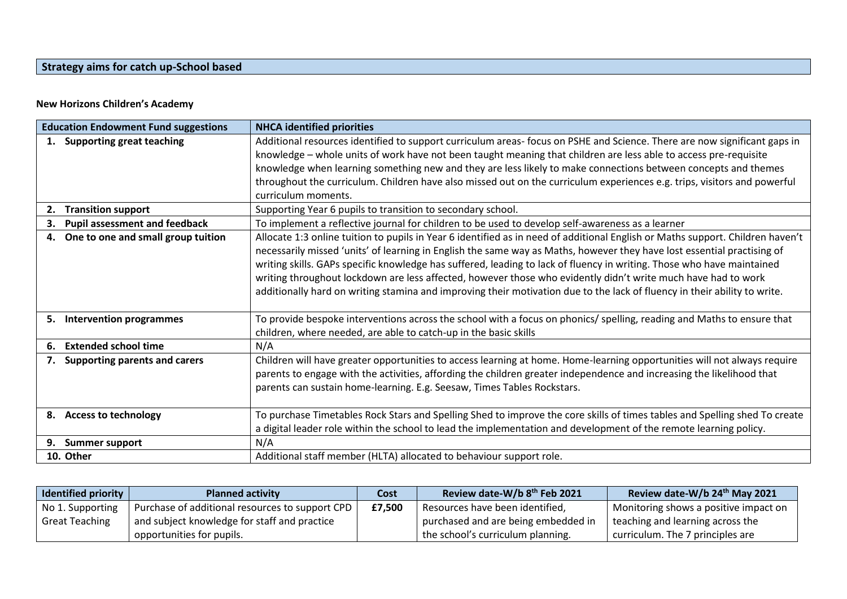## **Strategy aims for catch up-School based**

## **New Horizons Children's Academy**

| <b>Education Endowment Fund suggestions</b> |                                      | <b>NHCA identified priorities</b>                                                                                              |
|---------------------------------------------|--------------------------------------|--------------------------------------------------------------------------------------------------------------------------------|
| <b>Supporting great teaching</b>            |                                      | Additional resources identified to support curriculum areas- focus on PSHE and Science. There are now significant gaps in      |
|                                             |                                      | knowledge - whole units of work have not been taught meaning that children are less able to access pre-requisite               |
|                                             |                                      | knowledge when learning something new and they are less likely to make connections between concepts and themes                 |
|                                             |                                      | throughout the curriculum. Children have also missed out on the curriculum experiences e.g. trips, visitors and powerful       |
|                                             |                                      | curriculum moments.                                                                                                            |
| 2.                                          | <b>Transition support</b>            | Supporting Year 6 pupils to transition to secondary school.                                                                    |
| З.                                          | <b>Pupil assessment and feedback</b> | To implement a reflective journal for children to be used to develop self-awareness as a learner                               |
| 4.                                          | One to one and small group tuition   | Allocate 1:3 online tuition to pupils in Year 6 identified as in need of additional English or Maths support. Children haven't |
|                                             |                                      | necessarily missed 'units' of learning in English the same way as Maths, however they have lost essential practising of        |
|                                             |                                      | writing skills. GAPs specific knowledge has suffered, leading to lack of fluency in writing. Those who have maintained         |
|                                             |                                      | writing throughout lockdown are less affected, however those who evidently didn't write much have had to work                  |
|                                             |                                      | additionally hard on writing stamina and improving their motivation due to the lack of fluency in their ability to write.      |
|                                             |                                      |                                                                                                                                |
|                                             | 5. Intervention programmes           | To provide bespoke interventions across the school with a focus on phonics/ spelling, reading and Maths to ensure that         |
|                                             |                                      | children, where needed, are able to catch-up in the basic skills                                                               |
| 6.                                          | <b>Extended school time</b>          | N/A                                                                                                                            |
| 7.                                          | <b>Supporting parents and carers</b> | Children will have greater opportunities to access learning at home. Home-learning opportunities will not always require       |
|                                             |                                      | parents to engage with the activities, affording the children greater independence and increasing the likelihood that          |
|                                             |                                      | parents can sustain home-learning. E.g. Seesaw, Times Tables Rockstars.                                                        |
|                                             |                                      |                                                                                                                                |
|                                             | 8. Access to technology              | To purchase Timetables Rock Stars and Spelling Shed to improve the core skills of times tables and Spelling shed To create     |
|                                             |                                      | a digital leader role within the school to lead the implementation and development of the remote learning policy.              |
| 9.                                          | <b>Summer support</b>                | N/A                                                                                                                            |
| 10. Other                                   |                                      | Additional staff member (HLTA) allocated to behaviour support role.                                                            |

| Identified priority $\vert$ | <b>Planned activity</b>                         | Cost   | Review date-W/b 8th Feb 2021        | Review date-W/b 24th May 2021         |
|-----------------------------|-------------------------------------------------|--------|-------------------------------------|---------------------------------------|
| No 1. Supporting            | Purchase of additional resources to support CPD | £7.500 | Resources have been identified,     | Monitoring shows a positive impact on |
| <b>Great Teaching</b>       | and subject knowledge for staff and practice    |        | purchased and are being embedded in | teaching and learning across the      |
|                             | opportunities for pupils.                       |        | the school's curriculum planning.   | curriculum. The 7 principles are      |